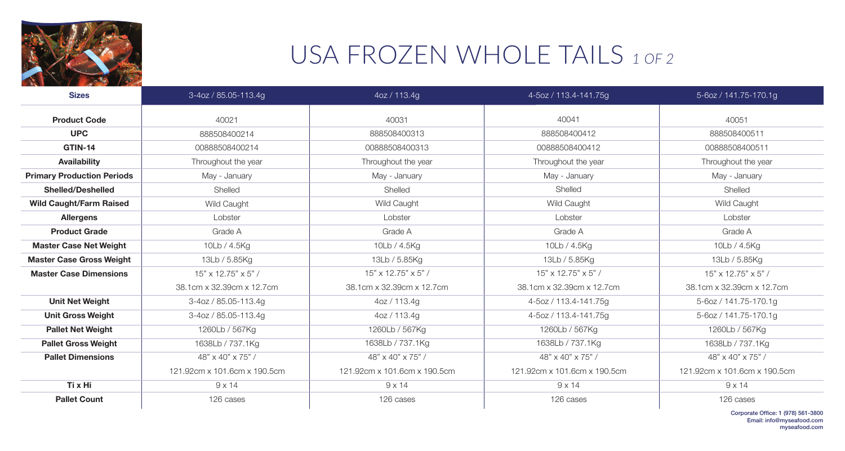

## USA FROZEN WHOLE TAILS *1 OF 2*

| <b>Sizes</b>                      | 3-4oz / 85.05-113.4g          | 4oz / 113.4g                  | 4-5oz / 113.4-141.75g        | 5-6oz / 141.75-170.1g         |
|-----------------------------------|-------------------------------|-------------------------------|------------------------------|-------------------------------|
| <b>Product Code</b>               | 40021                         | 40031                         | 40041                        | 40051                         |
| <b>UPC</b>                        | 888508400214                  | 888508400313                  | 888508400412                 | 888508400511                  |
| GTIN-14                           | 00888508400214                | 00888508400313                | 00888508400412               | 00888508400511                |
| <b>Availability</b>               | Throughout the year           | Throughout the year           | Throughout the year          | Throughout the year           |
| <b>Primary Production Periods</b> | May - January                 | May - January                 | May - January                | May - January                 |
| <b>Shelled/Deshelled</b>          | Shelled                       | Shelled                       | Shelled                      | Shelled                       |
| <b>Wild Caught/Farm Raised</b>    | <b>Wild Caught</b>            | <b>Wild Caught</b>            | <b>Wild Caught</b>           | <b>Wild Caught</b>            |
| <b>Allergens</b>                  | Lobster                       | Lobster                       | Lobster                      | Lobster                       |
| <b>Product Grade</b>              | Grade A                       | Grade A                       | Grade A                      | Grade A                       |
| <b>Master Case Net Weight</b>     | 10Lb / 4.5Kg                  | 10Lb / 4.5Kg                  | 10Lb / 4.5Kg                 | 10Lb / 4.5Kg                  |
| <b>Master Case Gross Weight</b>   | 13Lb / 5.85Kg                 | 13Lb / 5.85Kg                 | 13Lb / 5.85Kg                | 13Lb / 5.85Kg                 |
| <b>Master Case Dimensions</b>     | $15" \times 12.75" \times 5"$ | $15" \times 12.75" \times 5"$ | 15" x 12.75" x 5" /          | $15" \times 12.75" \times 5"$ |
|                                   | 38.1cm x 32.39cm x 12.7cm     | 38.1cm x 32.39cm x 12.7cm     | 38.1cm x 32.39cm x 12.7cm    | 38.1cm x 32.39cm x 12.7cm     |
| <b>Unit Net Weight</b>            | 3-4oz / 85.05-113.4g          | 4oz / 113.4g                  | 4-5oz / 113.4-141.75g        | 5-6oz / 141.75-170.1g         |
| <b>Unit Gross Weight</b>          | 3-4oz / 85.05-113.4g          | 4oz / 113.4g                  | 4-5oz / 113.4-141.75g        | 5-6oz / 141.75-170.1g         |
| <b>Pallet Net Weight</b>          | 1260Lb / 567Kg                | 1260Lb / 567Kg                | 1260Lb / 567Kg               | 1260Lb / 567Kg                |
| <b>Pallet Gross Weight</b>        | 1638Lb / 737.1Kg              | 1638Lb / 737.1Kg              | 1638Lb / 737.1Kg             | 1638Lb / 737.1Kg              |
| <b>Pallet Dimensions</b>          | 48" x 40" x 75" /             | $48" \times 40" \times 75"$   | 48" x 40" x 75" /            | 48" x 40" x 75" /             |
|                                   | 121.92cm x 101.6cm x 190.5cm  | 121.92cm x 101.6cm x 190.5cm  | 121.92cm x 101.6cm x 190.5cm | 121.92cm x 101.6cm x 190.5cm  |
| Ti x Hi                           | $9 \times 14$                 | $9 \times 14$                 | $9 \times 14$                | $9 \times 14$                 |
| <b>Pallet Count</b>               | 126 cases                     | 126 cases                     | 126 cases                    | 126 cases                     |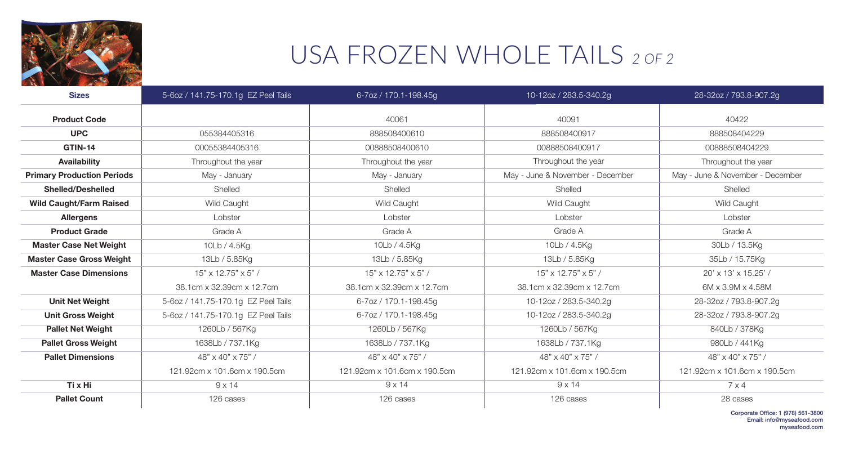

## USA FROZEN WHOLE TAILS *2 OF 2*

| <b>Sizes</b>                      | 5-6oz / 141.75-170.1g EZ Peel Tails | 6-7oz / 170.1-198.45g         | 10-12oz / 283.5-340.2g           | 28-32oz / 793.8-907.2g           |
|-----------------------------------|-------------------------------------|-------------------------------|----------------------------------|----------------------------------|
| <b>Product Code</b>               |                                     | 40061                         | 40091                            | 40422                            |
| <b>UPC</b>                        | 055384405316                        | 888508400610                  | 888508400917                     | 888508404229                     |
| <b>GTIN-14</b>                    | 00055384405316                      | 00888508400610                | 00888508400917                   | 00888508404229                   |
| <b>Availability</b>               | Throughout the year                 | Throughout the year           | Throughout the year              | Throughout the year              |
| <b>Primary Production Periods</b> | May - January                       | May - January                 | May - June & November - December | May - June & November - December |
| <b>Shelled/Deshelled</b>          | Shelled                             | Shelled                       | Shelled                          | Shelled                          |
| <b>Wild Caught/Farm Raised</b>    | <b>Wild Caught</b>                  | <b>Wild Caught</b>            | <b>Wild Caught</b>               | Wild Caught                      |
| <b>Allergens</b>                  | Lobster                             | Lobster                       | Lobster                          | Lobster                          |
| <b>Product Grade</b>              | Grade A                             | Grade A                       | Grade A                          | Grade A                          |
| <b>Master Case Net Weight</b>     | 10Lb / 4.5Kg                        | 10Lb / 4.5Kg                  | 10Lb / 4.5Kg                     | 30Lb / 13.5Kg                    |
| <b>Master Case Gross Weight</b>   | 13Lb / 5.85Kg                       | 13Lb / 5.85Kg                 | 13Lb / 5.85Kg                    | 35Lb / 15.75Kg                   |
| <b>Master Case Dimensions</b>     | $15" \times 12.75" \times 5"$       | $15" \times 12.75" \times 5"$ | $15" \times 12.75" \times 5"$    | 20' x 13' x 15.25' /             |
|                                   | 38.1cm x 32.39cm x 12.7cm           | 38.1cm x 32.39cm x 12.7cm     | 38.1cm x 32.39cm x 12.7cm        | $6M \times 3.9M \times 4.58M$    |
| <b>Unit Net Weight</b>            | 5-6oz / 141.75-170.1g EZ Peel Tails | 6-7oz / 170.1-198.45g         | 10-12oz / 283.5-340.2g           | 28-32oz / 793.8-907.2g           |
| <b>Unit Gross Weight</b>          | 5-6oz / 141.75-170.1g EZ Peel Tails | 6-7oz / 170.1-198.45g         | 10-12oz / 283.5-340.2g           | 28-32oz / 793.8-907.2g           |
| <b>Pallet Net Weight</b>          | 1260Lb / 567Kg                      | 1260Lb / 567Kg                | 1260Lb / 567Kg                   | 840Lb / 378Kg                    |
| <b>Pallet Gross Weight</b>        | 1638Lb / 737.1Kg                    | 1638Lb / 737.1Kg              | 1638Lb / 737.1Kg                 | 980Lb / 441Kg                    |
| <b>Pallet Dimensions</b>          | 48" x 40" x 75" /                   | 48" x 40" x 75" /             | 48" x 40" x 75" /                | 48" x 40" x 75" /                |
|                                   | 121.92cm x 101.6cm x 190.5cm        | 121.92cm x 101.6cm x 190.5cm  | 121.92cm x 101.6cm x 190.5cm     | 121.92cm x 101.6cm x 190.5cm     |
| Ti x Hi                           | $9 \times 14$                       | $9 \times 14$                 | $9 \times 14$                    | 7 x 4                            |
| <b>Pallet Count</b>               | 126 cases                           | 126 cases                     | 126 cases                        | 28 cases                         |

Corporate Office: 1 (978) 561-3800 Email: info@myseafood.com myseafood.com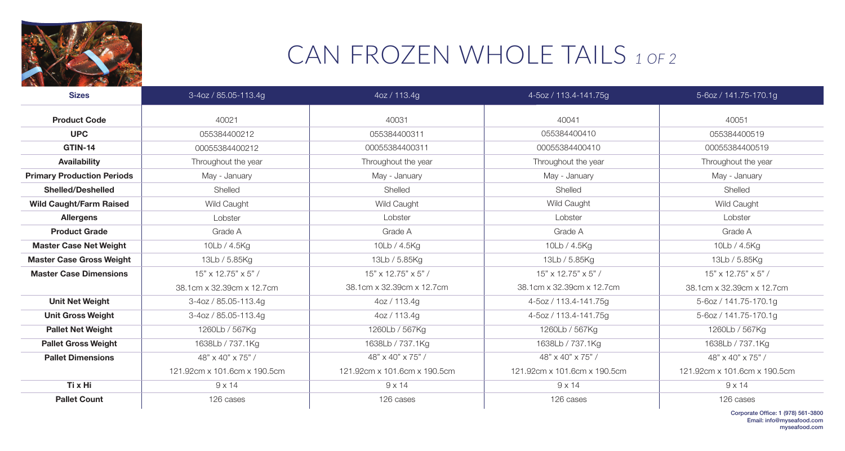

## CAN FROZEN WHOLE TAILS *1 OF 2*

| <b>Sizes</b>                      | 3-4oz / 85.05-113.4g          | 4oz / 113.4g                  | 4-5oz / 113.4-141.75g         | 5-6oz / 141.75-170.1g         |
|-----------------------------------|-------------------------------|-------------------------------|-------------------------------|-------------------------------|
| <b>Product Code</b>               | 40021                         | 40031                         | 40041                         | 40051                         |
| <b>UPC</b>                        | 055384400212                  | 055384400311                  | 055384400410                  | 055384400519                  |
| GTIN-14                           | 00055384400212                | 00055384400311                | 00055384400410                | 00055384400519                |
| <b>Availability</b>               | Throughout the year           | Throughout the year           | Throughout the year           | Throughout the year           |
| <b>Primary Production Periods</b> | May - January                 | May - January                 | May - January                 | May - January                 |
| <b>Shelled/Deshelled</b>          | Shelled                       | Shelled                       | Shelled                       | Shelled                       |
| <b>Wild Caught/Farm Raised</b>    | <b>Wild Caught</b>            | <b>Wild Caught</b>            | <b>Wild Caught</b>            | <b>Wild Caught</b>            |
| <b>Allergens</b>                  | Lobster                       | Lobster                       | Lobster                       | Lobster                       |
| <b>Product Grade</b>              | Grade A                       | Grade A                       | Grade A                       | Grade A                       |
| <b>Master Case Net Weight</b>     | 10Lb / 4.5Kg                  | 10Lb / 4.5Kg                  | 10Lb / 4.5Kg                  | 10Lb / 4.5Kg                  |
| <b>Master Case Gross Weight</b>   | 13Lb / 5.85Kg                 | 13Lb / 5.85Kg                 | 13Lb / 5.85Kg                 | 13Lb / 5.85Kg                 |
| <b>Master Case Dimensions</b>     | $15" \times 12.75" \times 5"$ | $15" \times 12.75" \times 5"$ | $15" \times 12.75" \times 5"$ | $15" \times 12.75" \times 5"$ |
|                                   | 38.1cm x 32.39cm x 12.7cm     | 38.1cm x 32.39cm x 12.7cm     | 38.1cm x 32.39cm x 12.7cm     | 38.1cm x 32.39cm x 12.7cm     |
| <b>Unit Net Weight</b>            | 3-4oz / 85.05-113.4g          | 4oz / 113.4g                  | 4-5oz / 113.4-141.75g         | 5-6oz / 141.75-170.1g         |
| <b>Unit Gross Weight</b>          | 3-4oz / 85.05-113.4g          | 4oz / 113.4g                  | 4-5oz / 113.4-141.75g         | 5-6oz / 141.75-170.1g         |
| <b>Pallet Net Weight</b>          | 1260Lb / 567Kg                | 1260Lb / 567Kg                | 1260Lb / 567Kg                | 1260Lb / 567Kg                |
| <b>Pallet Gross Weight</b>        | 1638Lb / 737.1Kg              | 1638Lb / 737.1Kg              | 1638Lb / 737.1Kg              | 1638Lb / 737.1Kg              |
| <b>Pallet Dimensions</b>          | 48" x 40" x 75" /             | 48" x 40" x 75" /             | 48" x 40" x 75" /             | 48" x 40" x 75" /             |
|                                   | 121.92cm x 101.6cm x 190.5cm  | 121.92cm x 101.6cm x 190.5cm  | 121.92cm x 101.6cm x 190.5cm  | 121.92cm x 101.6cm x 190.5cm  |
| Ti x Hi                           | $9 \times 14$                 | $9 \times 14$                 | $9 \times 14$                 | $9 \times 14$                 |
| <b>Pallet Count</b>               | 126 cases                     | 126 cases                     | 126 cases                     | 126 cases                     |